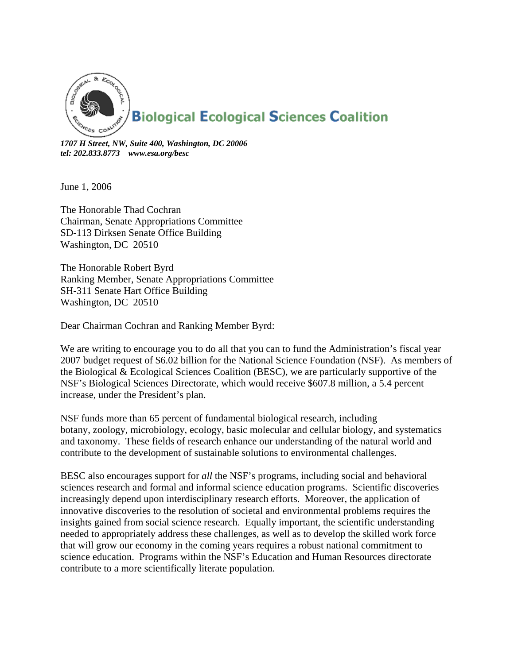

*1707 H Street, NW, Suite 400, Washington, DC 20006 tel: 202.833.8773 www.esa.org/besc* 

June 1, 2006

The Honorable Thad Cochran Chairman, Senate Appropriations Committee SD-113 Dirksen Senate Office Building Washington, DC 20510

The Honorable Robert Byrd Ranking Member, Senate Appropriations Committee SH-311 Senate Hart Office Building Washington, DC 20510

Dear Chairman Cochran and Ranking Member Byrd:

We are writing to encourage you to do all that you can to fund the Administration's fiscal year 2007 budget request of \$6.02 billion for the National Science Foundation (NSF). As members of the Biological & Ecological Sciences Coalition (BESC), we are particularly supportive of the NSF's Biological Sciences Directorate, which would receive \$607.8 million, a 5.4 percent increase, under the President's plan.

NSF funds more than 65 percent of fundamental biological research, including botany, zoology, microbiology, ecology, basic molecular and cellular biology, and systematics and taxonomy. These fields of research enhance our understanding of the natural world and contribute to the development of sustainable solutions to environmental challenges.

BESC also encourages support for *all* the NSF's programs, including social and behavioral sciences research and formal and informal science education programs. Scientific discoveries increasingly depend upon interdisciplinary research efforts. Moreover, the application of innovative discoveries to the resolution of societal and environmental problems requires the insights gained from social science research. Equally important, the scientific understanding needed to appropriately address these challenges, as well as to develop the skilled work force that will grow our economy in the coming years requires a robust national commitment to science education. Programs within the NSF's Education and Human Resources directorate contribute to a more scientifically literate population.